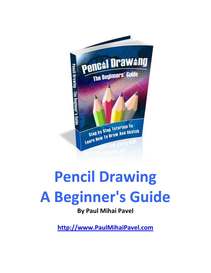

# Pencil Drawing A Beginner's Guide

# By Paul Mihai Pavel

[http://www.PaulMihaiPavel.com](http://www.paulmihaipavel.com/)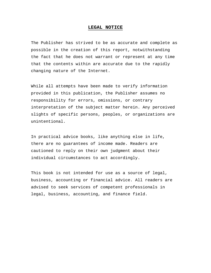#### **LEGAL NOTICE**

The Publisher has strived to be as accurate and complete as possible in the creation of this report, notwithstanding the fact that he does not warrant or represent at any time that the contents within are accurate due to the rapidly changing nature of the Internet.

While all attempts have been made to verify information provided in this publication, the Publisher assumes no responsibility for errors, omissions, or contrary interpretation of the subject matter herein. Any perceived slights of specific persons, peoples, or organizations are unintentional.

In practical advice books, like anything else in life, there are no guarantees of income made. Readers are cautioned to reply on their own judgment about their individual circumstances to act accordingly.

This book is not intended for use as a source of legal, business, accounting or financial advice. All readers are advised to seek services of competent professionals in legal, business, accounting, and finance field.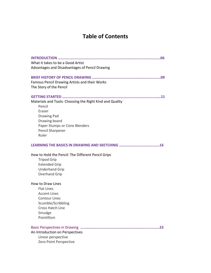# Table of Contents

| What it takes to be a Good Artist<br>Advantages and Disadvantages of Pencil Drawing                                                                                               |
|-----------------------------------------------------------------------------------------------------------------------------------------------------------------------------------|
| Famous Pencil Drawing Artists and their Works<br>The Story of the Pencil                                                                                                          |
| Materials and Tools: Choosing the Right Kind and Quality<br>Pencil<br>Eraser<br><b>Drawing Pad</b><br>Drawing board<br>Paper Stumps or Cone Blenders<br>Pencil Sharpener<br>Ruler |
|                                                                                                                                                                                   |
| How to Hold the Pencil: The Different Pencil Grips<br><b>Tripod Grip</b><br><b>Extended Grip</b><br><b>Underhand Grip</b><br>Overhand Grip                                        |
| How to Draw Lines<br><b>Flat Lines</b><br><b>Accent Lines</b><br><b>Contour Lines</b><br>Scumble/Scribbling<br><b>Cross Hatch Line</b><br>Smudge<br>Pointillism                   |
| 23<br>An Introduction on Perspectives<br>Linear perspective<br>Zero Point Perspective                                                                                             |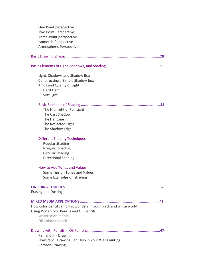| One Point perspective                                            |
|------------------------------------------------------------------|
| Two Point Perspective                                            |
| Three-Point perspective                                          |
| <b>Isometric Perspective</b>                                     |
| <b>Atmospheric Perspective</b>                                   |
|                                                                  |
|                                                                  |
| Light, Shadows and Shadow Box                                    |
| Constructing a Simple Shadow box                                 |
| Kinds and Quality of Light                                       |
| Hard Light                                                       |
| Soft light                                                       |
|                                                                  |
| The Highlight or Full Light                                      |
| The Cast Shadow                                                  |
| The Halftone                                                     |
| The Reflected Light                                              |
| The Shadow Edge                                                  |
| <b>Different Shading Techniques</b>                              |
| <b>Regular Shading</b>                                           |
| <b>Irregular Shading</b>                                         |
| <b>Circular Shading</b>                                          |
| <b>Directional Shading</b>                                       |
| How to Add Tones and Values                                      |
| Some Tips on Tones and Values                                    |
| Some Examples on Shading                                         |
|                                                                  |
| <b>Erasing and Dusting</b>                                       |
|                                                                  |
| How color pencil can bring wonders in your black and white world |
| Using Watercolor Pencils and Oil Pencils                         |
| <b>Watercolor Pencils</b>                                        |
| <b>Oil Colored Pencils</b>                                       |
|                                                                  |
| Pen and Ink Drawing                                              |
| How Pencil Drawing Can Help in Your Wall Painting                |
| <b>Cartoon Drawing</b>                                           |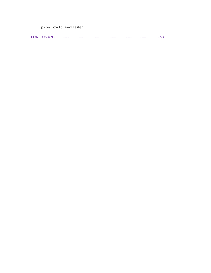Tips on How to Draw Faster

CONCLUSION ………………………………………………………………………………………….……….57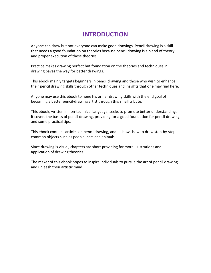# INTRODUCTION

Anyone can draw but not everyone can make good drawings. Pencil drawing is a skill that needs a good foundation on theories because pencil drawing is a blend of theory and proper execution of these theories.

Practice makes drawing perfect but foundation on the theories and techniques in drawing paves the way for better drawings.

This ebook mainly targets beginners in pencil drawing and those who wish to enhance their pencil drawing skills through other techniques and insights that one may find here.

Anyone may use this ebook to hone his or her drawing skills with the end goal of becoming a better pencil-drawing artist through this small tribute.

This ebook, written in non-technical language, seeks to promote better understanding. It covers the basics of pencil drawing, providing for a good foundation for pencil drawing and some practical tips.

This ebook contains articles on pencil drawing, and it shows how to draw step-by-step common objects such as people, cars and animals.

Since drawing is visual, chapters are short providing for more illustrations and application of drawing theories.

The maker of this ebook hopes to inspire individuals to pursue the art of pencil drawing and unleash their artistic mind.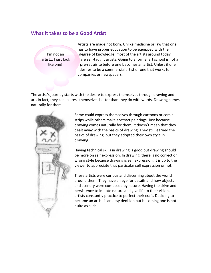#### What it takes to be a Good Artist

 Artists are made not born. Unlike medicine or law that one has to have proper education to be equipped with the I'm not an degree of knowledge, most of the artists around today artist... I just look are self-taught artists. Going to a formal art school is not a like one! pre-requisite before one becomes an artist. Unless if one desires to be a commercial artist or one that works for companies or newspapers.

The artist's journey starts with the desire to express themselves through drawing and art. In fact, they can express themselves better than they do with words. Drawing comes naturally for them.



Some could express themselves through cartoons or comic strips while others make abstract paintings. Just because drawing comes naturally for them, it doesn't mean that they dealt away with the basics of drawing. They still learned the basics of drawing, but they adopted their own style in drawing.

Having technical skills in drawing is good but drawing should be more on self expression. In drawing, there is no correct or wrong style because drawing is self expression. It is up to the viewer to appreciate that particular self expression or not.

These artists were curious and discerning about the world around them. They have an eye for details and how objects and scenery were composed by nature. Having the drive and persistence to imitate nature and give life to their vision, artists constantly practice to perfect their craft. Deciding to become an artist is an easy decision but becoming one is not quite as such.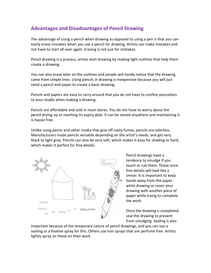#### Advantages and Disadvantages of Pencil Drawing

The advantage of using a pencil when drawing as opposed to using a pen is that you can easily erase mistakes when you use a pencil for drawing. Artists can make mistakes and not have to start all over again. Erasing is not just for mistakes.

Pencil drawing is a process, artists start drawing by making light outlines that help them create a drawing.

You can also erase later on the outlines and people will hardly notice that the drawing came from simple lines. Using pencils in drawing is inexpensive because you will just need a pencil and paper to create a basic drawing.

Pencils and papers are easy to carry around that you do not have to confine yourselves to your studio when making a drawing.

Pencils are affordable and sold in most stores. You do not have to worry about the pencil drying up or reaching its expiry date. It can be stored anywhere and maintaining it is hassle free.

Unlike using paints and other media that give off nasty fumes, pencils are odorless. Manufacturers made pencils versatile depending on the artist's needs, one get very black to light gray. Pencils can also be very soft, which makes it easy for shading or hard, which makes it perfect for fine details.



Pencil drawings have a tendency to smudge if you touch or rub them. Those once fine details will look like a smear. It is important to keep hands away from the paper while drawing or cover your drawing with another piece of paper while trying to complete the work.

Once the drawing is completed, seal the drawing to prevent from smudging. Sealing is also

important because of the temporary nature of pencil drawings, and you can use a sealing or a fixative spray for this. Others use hair sprays that are perfume free. Artists lightly spray on these on their work.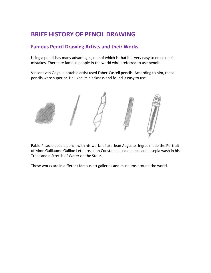# BRIEF HISTORY OF PENCIL DRAWING

#### Famous Pencil Drawing Artists and their Works

Using a pencil has many advantages, one of which is that it is very easy to erase one's mistakes. There are famous people in the world who preferred to use pencils.

Vincent van Gogh, a notable artist used Faber-Castell pencils. According to him, these pencils were superior. He liked its blackness and found it easy to use.



Pablo Picasso used a pencil with his works of art. Jean Auguste- Ingres made the Portrait of Mme Guillaume Guillon Lethiere. John Constable used a pencil and a sepia wash in his Trees and a Stretch of Water on the Stour.

These works are in different famous art galleries and museums around the world.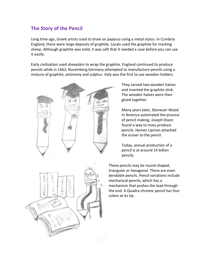#### The Story of the Pencil

Long time ago, Greek artists used to draw on papyrus using a metal stylus. In Cumbria England, there were large deposits of graphite. Locals used the graphite for marking sheep. Although graphite was solid, it was soft that it needed a case before you can use it easily.

Early civilization used sheepskin to wrap the graphite. England continued to produce pencils while in 1662; Nuremberg Germany attempted to manufacture pencils using a mixture of graphite, antimony and sulphur. Italy was the first to use wooden holders.

**In** 

They carved two wooden halves and inserted the graphite stick. The wooden halves were then glued together.

Many years later, Ebenezer Wood in America automated the process of pencil making. Joseph Dixon found a way to mass produce pencils. Hymen Lipman attached the eraser to the pencil.

Today, annual production of a pencil is at around 14 billion pencils.

These pencils may be round-shaped, triangular or hexagonal. There are even bendable pencils. Pencil variations include mechanical pencils, which has a mechanism that pushes the lead through the end. A Quadra chromic pencil has four colors at its tip.

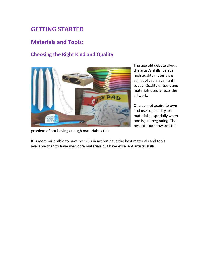# GETTING STARTED

#### Materials and Tools:

#### Choosing the Right Kind and Quality



problem of not having enough materials is this:

The age old debate about the artist's skills' versus high quality materials is still applicable even until today. Quality of tools and materials used affects the artwork.

One cannot aspire to own and use top quality art materials, especially when one is just beginning. The best attitude towards the

It is more miserable to have no skills in art but have the best materials and tools available than to have mediocre materials but have excellent artistic skills.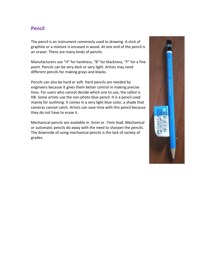#### Pencil

The pencil is an instrument commonly used to drawing. A stick of graphite or a mixture is encased in wood. At one end of the pencil is an eraser. There are many kinds of pencils.

Manufacturers use "H" for hardness, "B" for blackness, "F" for a fine point. Pencils can be very dark or very light. Artists may need different pencils for making grays and blacks.

Pencils can also be hard or soft. Hard pencils are needed by engineers because it gives them better control in making precise lines. For users who cannot decide which one to use, the safest is HB. Some artists use the non photo blue pencil. It is a pencil used mainly for outlining. It comes in a very light blue color, a shade that cameras cannot catch. Artists can save time with this pencil because they do not have to erase it.

Mechanical pencils are available in .5mm or .7mm lead. Mechanical or automatic pencils do away with the need to sharpen the pencils. The downside of using mechanical pencils is the lack of variety of grades.

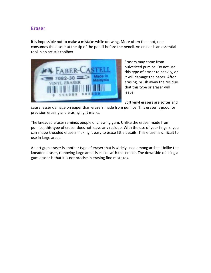#### Eraser

It is impossible not to make a mistake while drawing. More often than not, one consumes the eraser at the tip of the pencil before the pencil. An eraser is an essential tool in an artist's toolbox.



Erasers may come from pulverized pumice. Do not use this type of eraser to heavily, or it will damage the paper. After erasing, brush away the residue that this type or eraser will leave.

Soft vinyl erasers are softer and

cause lesser damage on paper than erasers made from pumice. This eraser is good for precision erasing and erasing light marks.

The kneaded eraser reminds people of chewing gum. Unlike the eraser made from pumice, this type of eraser does not leave any residue. With the use of your fingers, you can shape kneaded erasers making it easy to erase little details. This eraser is difficult to use in large areas.

An art gum eraser is another type of eraser that is widely used among artists. Unlike the kneaded eraser, removing large areas is easier with this eraser. The downside of using a gum eraser is that it is not precise in erasing fine mistakes.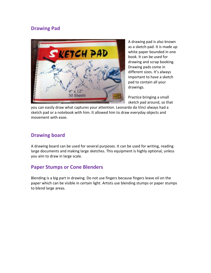#### Drawing Pad



A drawing pad is also known as a sketch pad. It is made up white paper bounded in one book. It can be used for drawing and scrap booking. Drawing pads come in different sizes. It's always important to have a sketch pad to contain all your drawings.

Practice bringing a small sketch pad around, so that

you can easily draw what captures your attention. Leonardo da Vinci always had a sketch pad or a notebook with him. It allowed him to draw everyday objects and movement with ease.

#### Drawing board

A drawing board can be used for several purposes. It can be used for writing, reading large documents and making large sketches. This equipment is highly optional, unless you aim to draw in large scale.

#### Paper Stumps or Cone Blenders

Blending is a big part in drawing. Do not use fingers because fingers leave oil on the paper which can be visible in certain light. Artists use blending stumps or paper stumps to blend large areas.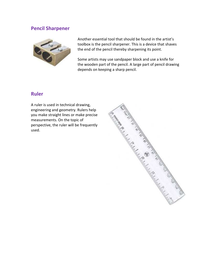#### Pencil Sharpener



Another essential tool that should be found in the artist's toolbox is the pencil sharpener. This is a device that shaves the end of the pencil thereby sharpening its point.

Some artists may use sandpaper block and use a knife for the wooden part of the pencil. A large part of pencil drawing depends on keeping a sharp pencil.

#### Ruler

A ruler is used in technical drawing, engineering and geometry. Rulers help you make straight lines or make precise measurements. On the topic of perspective, the ruler will be frequently used.

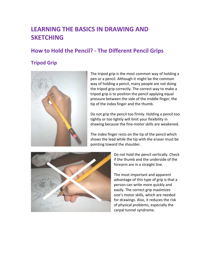# LEARNING THE BASICS IN DRAWING AND **SKETCHING**

### How to Hold the Pencil? - The Different Pencil Grips

#### Tripod Grip



The tripod grip is the most common way of holding a pen or a pencil. Although it might be the common way of holding a pencil, many people are not doing the tripod grip correctly. The correct way to make a tripod grip is to position the pencil applying equal pressure between the side of the middle finger, the tip of the index finger and the thumb.

Do not grip the pencil too firmly. Holding a pencil too tightly or too lightly will limit your flexibility in drawing because the fine-motor skills are weakened.

The index finger rests on the tip of the pencil which shows the lead while the tip with the eraser must be pointing toward the shoulder.



Do not hold the pencil vertically. Check if the thumb and the underside of the forearm are in a straight line.

The most important and apparent advantage of this type of grip is that a person can write more quickly and easily. The correct grip maximizes one's motor skills, which are needed for drawings. Also, it reduces the risk of physical problems, especially the carpal tunnel syndrome.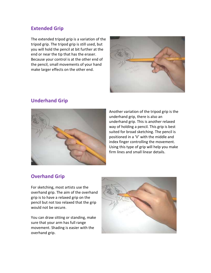#### Extended Grip

The extended tripod grip is a variation of the tripod grip. The tripod grip is still used, but you will hold the pencil at bit further at the end or near the tip that has the eraser. Because your control is at the other end of the pencil, small movements of your hand make larger effects on the other end.



#### Underhand Grip



Another variation of the tripod grip is the underhand grip, there is also an underhand grip. This is another relaxed way of holding a pencil. This grip is best suited for broad sketching. The pencil is positioned in a 'V' with the middle and index finger controlling the movement. Using this type of grip will help you make firm lines and small linear details.

#### Overhand Grip

For sketching, most artists use the overhand grip. The aim of the overhand grip is to have a relaxed grip on the pencil but not too relaxed that the grip would not be secure.

You can draw sitting or standing, make sure that your arm has full range movement. Shading is easier with the overhand grip.

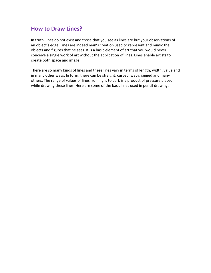#### How to Draw Lines?

In truth, lines do not exist and those that you see as lines are but your observations of an object's edge. Lines are indeed man's creation used to represent and mimic the objects and figures that he sees. It is a basic element of art that you would never conceive a single work of art without the application of lines. Lines enable artists to create both space and image.

There are so many kinds of lines and these lines vary in terms of length, width, value and in many other ways. In form, there can be straight, curved, wavy, jagged and many others. The range of values of lines from light to dark is a product of pressure placed while drawing these lines. Here are some of the basic lines used in pencil drawing.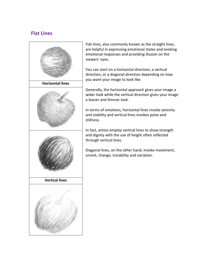#### Flat Lines



Flat lines, also commonly known as the straight lines, are helpful in expressing emotional states and evoking emotional responses and providing illusion on the viewers' eyes.

You can start on a horizontal direction, a vertical direction, or a diagonal direction depending on how you want your image to look like.

Generally, the horizontal approach gives your image a wider look while the vertical direction gives your image a leaner and thinner look.

In terms of emotions, horizontal lines invoke serenity and stability and vertical lines invokes poise and stillness.

In fact, artists employ vertical lines to show strength and dignity with the use of height often reflected through vertical lines.

Diagonal lines, on the other hand, invoke movement, unrest, change, instability and variation.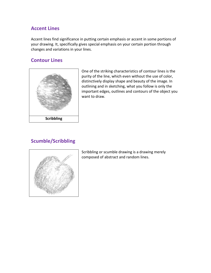#### Accent Lines

Accent lines find significance in putting certain emphasis or accent in some portions of your drawing. It, specifically gives special emphasis on your certain portion through changes and variations in your lines.

#### Contour Lines



One of the striking characteristics of contour lines is the purity of the line, which even without the use of color, distinctively display shape and beauty of the image. In outlining and in sketching, what you follow is only the important edges, outlines and contours of the object you want to draw.

#### Scumble/Scribbling



Scribbling or scumble drawing is a drawing merely composed of abstract and random lines.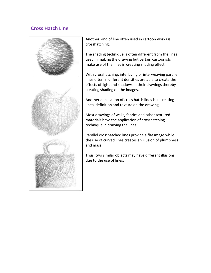#### Cross Hatch Line



Another kind of line often used in cartoon works is crosshatching.

The shading technique is often different from the lines used in making the drawing but certain cartoonists make use of the lines in creating shading effect.

With crosshatching, interlacing or interweaving parallel lines often in different densities are able to create the effects of light and shadows in their drawings thereby creating shading on the images.

Another application of cross hatch lines is in creating lineal definition and texture on the drawing.

Most drawings of walls, fabrics and other textured materials have the application of crosshatching technique in drawing the lines.

Parallel crosshatched lines provide a flat image while the use of curved lines creates an illusion of plumpness and mass.

Thus, two similar objects may have different illusions due to the use of lines.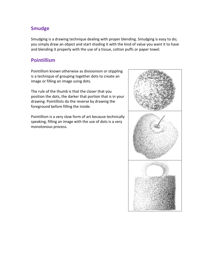#### Smudge

Smudging is a drawing technique dealing with proper blending. Smudging is easy to do; you simply draw an object and start shading it with the kind of value you want it to have and blending it properly with the use of a tissue, cotton puffs or paper towel.

#### Pointillism

Pointillism known otherwise as divisionism or stippling is a technique of grouping together dots to create an image or filling an image using dots.

The rule of the thumb is that the closer that you position the dots, the darker that portion that is in your drawing. Pointillists do the reverse by drawing the foreground before filling the inside.

Pointillism is a very slow form of art because technically speaking, filling an image with the use of dots is a very monotonous process.

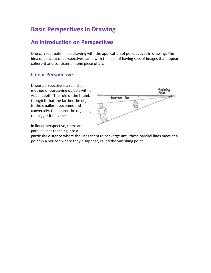# Basic Perspectives in Drawing

# An Introduction on Perspectives

One can see realism in a drawing with the application of perspectives in drawing. The idea or concept of perspectives came with the idea of having sets of images that appear coherent and consistent in one piece of art.

#### Linear Perspective

Linear perspective is a realistic method of portraying objects with a visual depth. The rule of the thumb though is that the farther the object is, the smaller it becomes and conversely, the nearer the object is, the bigger it becomes.



In linear perspective, there are parallel lines receding into a

particular distance where the lines seem to converge until these parallel lines meet at a point in a horizon where they disappear, called the vanishing point.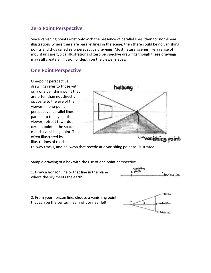#### Zero Point Perspective

Since vanishing points exist only with the presence of parallel lines, then for non-linear illustrations where there are parallel lines in the scene, then there could be no vanishing points and thus called zero perspective drawings. Most natural scenes like a range of mountains are typical illustrations of zero perspective drawings though these drawings may still create an illusion of depth on the viewer's eyes.

#### One Point Perspective

One-point perspective drawings refer to those with only one vanishing point that are often than not directly opposite to the eye of the viewer. In one-point perspective, parallel lines, parallel to the eye of the viewer, retreat towards a certain point in the space called a vanishing point. This often illustrated by illustrations of roads and



railway tracks, and hallways that recede at a vanishing point as illustrated.

Sample drawing of a box with the use of one point perspective.

1. Draw a horizon line or that line in the plane where the sky meets the earth.



2. From your horizon line, choose a vanishing point that can be the center, near right or near left.

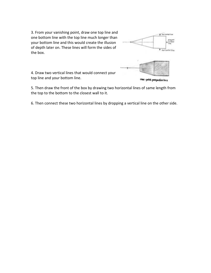3. From your vanishing point, draw one top line and one bottom line with the top line much longer than your bottom line and this would create the illusion of depth later on. These lines will form the sides of the box.



4. Draw two vertical lines that would connect your top line and your bottom line.

5. Then draw the front of the box by drawing two horizontal lines of same length from the top to the bottom to the closest wall to it.

6. Then connect these two horizontal lines by dropping a vertical line on the other side.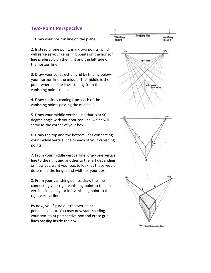#### Two-Point Perspective

1. Draw your horizon line on the plane.

2. Instead of one point, mark two points, which will serve as your vanishing points on the horizon line preferably on the right and the left side of the horizon line.

3. Draw your construction grid by finding below your horizon line the middle. The middle is the point where all the lines coming from the vanishing points meet.

4. Draw six lines coming from each of the vanishing points passing the middle.

5. Draw your middle vertical line that is at 90 degree angle with your horizon line, which will serve as the corner of your box.

6. Draw the top and the bottom lines connecting your middle vertical line to each of your vanishing points.

7. From your middle vertical line, draw one vertical line to the right and another to the left depending on how you want your box to look, as these would determine the length and width of your box.

8. From your vanishing points, draw the line connecting your right vanishing point to the left vertical line and your left vanishing point to the right vertical line.

By now, you figure out the two-point perspective box. You may now start shading your two-point perspective box and erase grid lines passing inside the box.

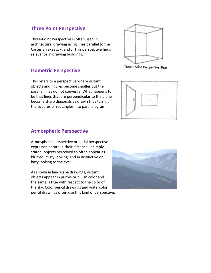#### Three Point Perspective

Three-Point Perspective is often used in architectural drawing using lines parallel to the Cartesian axes x, y, and z. This perspective finds relevance in drawing buildings.

#### Isometric Perspective

This refers to a perspective where distant objects and figures become smaller but the parallel lines do not converge. What happens to be that lines that are perpendicular to the plane become sharp diagonals as drawn thus turning the squares or rectangles into parallelogram.



Three-point Perspective Box



#### Atmospheric Perspective

Atmospheric perspective or aerial perspective expresses nature in their distance. It simply stated, objects perceived to often appear as blurred, misty looking, and in distinctive or hazy looking to the eye.

As shown in landscape drawings, distant objects appear in purple or bluish color and the same is true with respect to the color of the sky. Color pencil drawings and watercolor pencil drawings often use this kind of perspective.

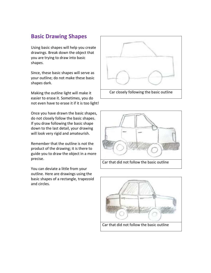#### Basic Drawing Shapes

Using basic shapes will help you create drawings. Break down the object that you are trying to draw into basic shapes.

Since, these basic shapes will serve as your outline; do not make these basic shapes dark.

Making the outline light will make it easier to erase it. Sometimes, you do not even have to erase it if it is too light!

Once you have drawn the basic shapes, do not closely follow the basic shapes. If you draw following the basic shape down to the last detail, your drawing will look very rigid and amateurish.

Remember that the outline is not the product of the drawing; it is there to guide you to draw the object in a more precise.

You can deviate a little from your outline. Here are drawings using the basic shapes of a rectangle, trapezoid and circles.





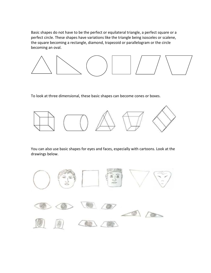Basic shapes do not have to be the perfect or equilateral triangle, a perfect square or a perfect circle. These shapes have variations like the triangle being isosceles or scalene, the square becoming a rectangle, diamond, trapezoid or parallelogram or the circle becoming an oval.



To look at three dimensional, these basic shapes can become cones or boxes.



You can also use basic shapes for eyes and faces, especially with cartoons. Look at the drawings below.

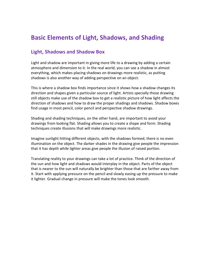# Basic Elements of Light, Shadows, and Shading

#### Light, Shadows and Shadow Box

Light and shadow are important in giving more life to a drawing by adding a certain atmosphere and dimension to it. In the real world, you can see a shadow in almost everything, which makes placing shadows on drawings more realistic, as putting shadows is also another way of adding perspective on an object.

This is where a shadow box finds importance since it shows how a shadow changes its direction and shapes given a particular source of light. Artists specially those drawing still objects make use of the shadow box to get a realistic picture of how light affects the direction of shadows and how to draw the proper shadings and shadows. Shadow boxes find usage in most pencil, color pencil and perspective shadow drawings.

Shading and shading techniques, on the other hand, are important to avoid your drawings from looking flat. Shading allows you to create a shape and form. Shading techniques create illusions that will make drawings more realistic.

Imagine sunlight hitting different objects, with the shadows formed; there is no even illumination on the object. The darker shades in the drawing give people the impression that it has depth while lighter areas give people the illusion of raised portion.

Translating reality to your drawings can take a lot of practice. Think of the direction of the sun and how light and shadows would interplay in the object. Parts of the object that is nearer to the sun will naturally be brighter than those that are farther away from it. Start with applying pressure on the pencil and slowly easing up the pressure to make it lighter. Gradual change in pressure will make the tones look smooth.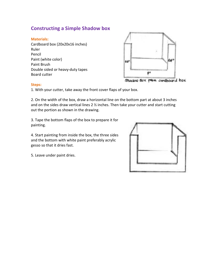#### Constructing a Simple Shadow box

#### Materials:

Cardboard box (20x20x16 inches) Ruler Pencil Paint (white color) Paint Brush Double sided or heavy-duty tapes Board cutter



#### Steps:

1. With your cutter, take away the front cover flaps of your box.

2. On the width of the box, draw a horizontal line on the bottom part at about 3 inches and on the sides draw vertical lines 2 % inches. Then take your cutter and start cutting out the portion as shown in the drawing.

3. Tape the bottom flaps of the box to prepare it for painting.

4. Start painting from inside the box, the three sides and the bottom with white paint preferably acrylic gesso so that it dries fast.

5. Leave under paint dries.

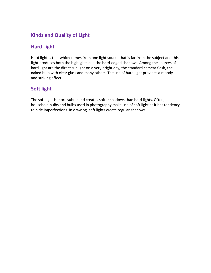#### Kinds and Quality of Light

### Hard Light

Hard light is that which comes from one light source that is far from the subject and this light produces both the highlights and the hard-edged shadows. Among the sources of hard light are the direct sunlight on a very bright day, the standard camera flash, the naked bulb with clear glass and many others. The use of hard light provides a moody and striking effect.

### Soft light

The soft light is more subtle and creates softer shadows than hard lights. Often, household bulbs and bulbs used in photography make use of soft light as it has tendency to hide imperfections. In drawing, soft lights create regular shadows.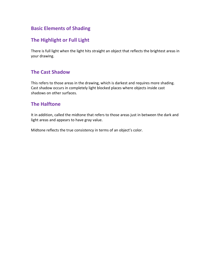#### Basic Elements of Shading

#### The Highlight or Full Light

There is full light when the light hits straight an object that reflects the brightest areas in your drawing.

#### The Cast Shadow

This refers to those areas in the drawing, which is darkest and requires more shading. Cast shadow occurs in completely light blocked places where objects inside cast shadows on other surfaces.

#### The Halftone

It in addition, called the midtone that refers to those areas just in between the dark and light areas and appears to have gray value.

Midtone reflects the true consistency in terms of an object's color.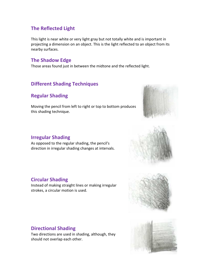#### The Reflected Light

This light is near white or very light gray but not totally white and is important in projecting a dimension on an object. This is the light reflected to an object from its nearby surfaces.

#### The Shadow Edge

Those areas found just in between the midtone and the reflected light.

#### Different Shading Techniques

#### Regular Shading

Moving the pencil from left to right or top to bottom produces this shading technique.



#### Irregular Shading

As opposed to the regular shading, the pencil's direction in irregular shading changes at intervals.



#### Circular Shading

Instead of making straight lines or making irregular strokes, a circular motion is used.



#### Directional Shading

Two directions are used in shading, although, they should not overlap each other.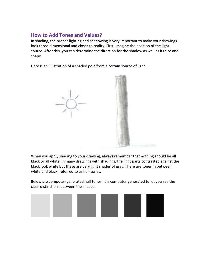#### How to Add Tones and Values?

In shading, the proper lighting and shadowing is very important to make your drawings look three-dimensional and closer to reality. First, imagine the position of the light source. After this, you can determine the direction for the shadow as well as its size and shape.

Here is an illustration of a shaded pole from a certain source of light.



When you apply shading to your drawing, always remember that nothing should be all black or all white. In many drawings with shadings, the light parts contrasted against the black look white but these are very light shades of gray. There are tones in between white and black, referred to as half tones.

Below are computer-generated half tones. It is computer generated to let you see the clear distinctions between the shades.

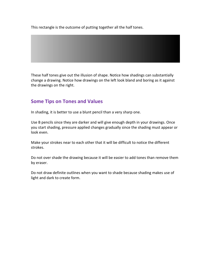This rectangle is the outcome of putting together all the half tones.

These half tones give out the illusion of shape. Notice how shadings can substantially change a drawing. Notice how drawings on the left look bland and boring as it against the drawings on the right.

#### Some Tips on Tones and Values

In shading, it is better to use a blunt pencil than a very sharp one.

Use B pencils since they are darker and will give enough depth in your drawings. Once you start shading, pressure applied changes gradually since the shading must appear or look even.

Make your strokes near to each other that it will be difficult to notice the different strokes.

Do not over shade the drawing because it will be easier to add tones than remove them by eraser.

Do not draw definite outlines when you want to shade because shading makes use of light and dark to create form.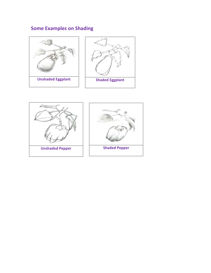# Some Examples on Shading



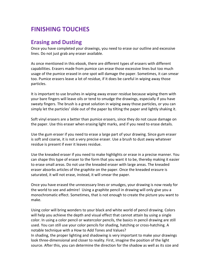# FINISHING TOUCHES

#### Erasing and Dusting

Once you have completed your drawings, you need to erase our outline and excessive lines. Do not just grab any eraser available.

As once mentioned in this ebook, there are different types of erasers with different capabilities. Erasers made from pumice can erase those excessive lines but too much usage of the pumice erased in one spot will damage the paper. Sometimes, it can smear too. Pumice erasers leave a lot of residue, if it does be careful in wiping away those particles.

It is important to use brushes in wiping away eraser residue because wiping them with your bare fingers will leave oils or tend to smudge the drawings, especially if you have sweaty fingers. The brush is a great solution in wiping away those particles, or you can simply let the particles' slide out of the paper by tilting the paper and lightly shaking it.

Soft vinyl erasers are a better than pumice erasers, since they do not cause damage on the paper. Use this eraser when erasing light marks, and if you need to erase details.

Use the gum eraser if you need to erase a large part of your drawing. Since gum eraser is soft and coarse, it is not a very precise eraser. Use a brush to dust away whatever residue is present if ever it leaves residue.

Use the kneaded eraser if you need to make highlights or erase in a precise manner. You can shape this type of eraser to the form that you want it to be, thereby making it easier to erase small areas. Do not use the kneaded eraser with large areas. The kneaded eraser absorbs articles of the graphite on the paper. Once the kneaded erasure is saturated, it will not erase, instead, it will smear the paper.

Once you have erased the unnecessary lines or smudges, your drawing is now ready for the world to see and admire! Using a graphite pencil in drawing will only give you a monochromatic effect. Sometimes, that is not enough to create the picture you want to make.

Using color will bring wonders to your black and white world of pencil drawing. Colors will help you achieve the depth and visual effect that cannot attain by using a single color. In using a color pencil or watercolor pencils, the basics in pencil drawing are still used. You can still use your color pencils for shading, hatching or cross-hatching. A notable technique with a How to Add Tones and Values? In shading, the proper lighting and shadowing is very important to make your drawings

look three-dimensional and closer to reality. First, imagine the position of the light source. After this, you can determine the direction for the shadow as well as its size and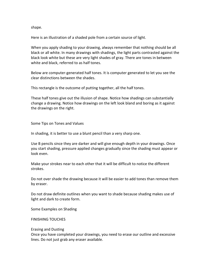shape.

Here is an illustration of a shaded pole from a certain source of light.

When you apply shading to your drawing, always remember that nothing should be all black or all white. In many drawings with shadings, the light parts contrasted against the black look white but these are very light shades of gray. There are tones in between white and black, referred to as half tones.

Below are computer-generated half tones. It is computer generated to let you see the clear distinctions between the shades.

This rectangle is the outcome of putting together, all the half tones.

These half tones give out the illusion of shape. Notice how shadings can substantially change a drawing. Notice how drawings on the left look bland and boring as it against the drawings on the right.

Some Tips on Tones and Values

In shading, it is better to use a blunt pencil than a very sharp one.

Use B pencils since they are darker and will give enough depth in your drawings. Once you start shading, pressure applied changes gradually since the shading must appear or look even.

Make your strokes near to each other that it will be difficult to notice the different strokes.

Do not over shade the drawing because it will be easier to add tones than remove them by eraser.

Do not draw definite outlines when you want to shade because shading makes use of light and dark to create form.

Some Examples on Shading

FINISHING TOUCHES

#### Erasing and Dusting

Once you have completed your drawings, you need to erase our outline and excessive lines. Do not just grab any eraser available.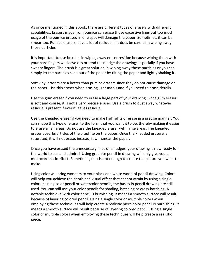As once mentioned in this ebook, there are different types of erasers with different capabilities. Erasers made from pumice can erase those excessive lines but too much usage of the pumice erased in one spot will damage the paper. Sometimes, it can be smear too. Pumice erasers leave a lot of residue, if it does be careful in wiping away those particles.

It is important to use brushes in wiping away eraser residue because wiping them with your bare fingers will leave oils or tend to smudge the drawings especially if you have sweaty fingers. The brush is a great solution in wiping away those particles or you can simply let the particles slide out of the paper by tilting the paper and lightly shaking it.

Soft vinyl erasers are a better than pumice erasers since they do not cause damage on the paper. Use this eraser when erasing light marks and if you need to erase details.

Use the gum eraser if you need to erase a large part of your drawing. Since gum eraser is soft and coarse, it is not a very precise eraser. Use a brush to dust away whatever residue is present if ever it leaves residue.

Use the kneaded eraser if you need to make highlights or erase in a precise manner. You can shape this type of eraser to the form that you want it to be, thereby making it easier to erase small areas. Do not use the kneaded eraser with large areas. The kneaded eraser absorbs articles of the graphite on the paper. Once the kneaded erasure is saturated, it will not erase, instead, it will smear the paper.

Once you have erased the unnecessary lines or smudges, your drawing is now ready for the world to see and admire! Using graphite pencil in drawing will only give you a monochromatic effect. Sometimes, that is not enough to create the picture you want to make.

Using color will bring wonders to your black and white world of pencil drawing. Colors will help you achieve the depth and visual effect that cannot attain by using a single color. In using color pencil or watercolor pencils, the basics in pencil drawing are still used. You can still use your color pencils for shading, hatching or cross-hatching. A notable technique with color pencil is burnishing. It means a smooth surface will result because of layering colored pencil. Using a single color or multiple colors when employing these techniques will help create a realistic piece.color pencil is burnishing. It means a smooth surface will result because of layering colored pencil. Using a single color or multiple colors when employing these techniques will help create a realistic piece.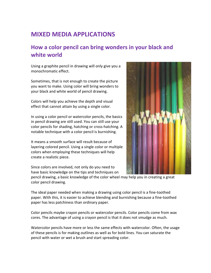# MIXED MEDIA APPLICATIONS

# How a color pencil can bring wonders in your black and white world

Using a graphite pencil in drawing will only give you a monochromatic effect.

Sometimes, that is not enough to create the picture you want to make. Using color will bring wonders to your black and white world of pencil drawing.

Colors will help you achieve the depth and visual effect that cannot attain by using a single color.

In using a color pencil or watercolor pencils, the basics in pencil drawing are still used. You can still use your color pencils for shading, hatching or cross-hatching. A notable technique with a color pencil is burnishing.

It means a smooth surface will result because of layering colored pencil. Using a single color or multiple colors when employing these techniques will help create a realistic piece.

Since colors are involved, not only do you need to have basic knowledge on the tips and techniques on



pencil drawing, a basic knowledge of the color wheel may help you in creating a great color pencil drawing.

The ideal paper needed when making a drawing using color pencil is a fine-toothed paper. With this, it is easier to achieve blending and burnishing because a fine-toothed paper has less patchiness than ordinary paper.

Color pencils maybe crayon pencils or watercolor pencils. Color pencils come from wax cores. The advantage of using a crayon pencil is that it does not smudge as much.

Watercolor pencils have more or less the same effects with watercolor. Often, the usage of these pencils is for making outlines as well as for bold lines. You can saturate the pencil with water or wet a brush and start spreading color.

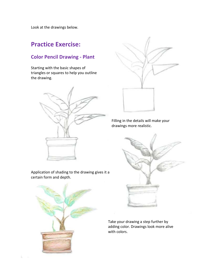Look at the drawings below.

# Practice Exercise:

#### Color Pencil Drawing - Plant

Starting with the basic shapes of triangles or squares to help you outline the drawing.





Filling in the details will make your drawings more realistic.



Application of shading to the drawing gives it a certain form and depth.



Take your drawing a step further by adding color. Drawings look more alive with colors.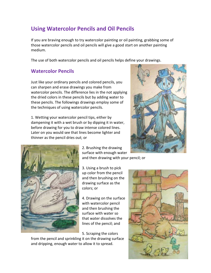# Using Watercolor Pencils and Oil Pencils

If you are braving enough to try watercolor painting or oil painting, grabbing some of those watercolor pencils and oil pencils will give a good start on another painting medium.

The use of both watercolor pencils and oil pencils helps define your drawings.

#### Watercolor Pencils

Just like your ordinary pencils and colored pencils, you can sharpen and erase drawings you make from watercolor pencils. The difference lies in the not applying the dried colors in these pencils but by adding water to these pencils. The followings drawings employ some of the techniques of using watercolor pencils.

1. Wetting your watercolor pencil tips, either by dampening it with a wet brush or by dipping it in water, before drawing for you to draw intense colored lines. Later on you would see that lines become lighter and thinner as the pencil dries out; or





2. Brushing the drawing surface with enough water and then drawing with your pencil; or

3. Using a brush to pick up color from the pencil and then brushing on the drawing surface as the colors; or

4. Drawing on the surface with watercolor pencil and then brushing the surface with water so that water dissolves the lines of the pencil; and

5. Scraping the colors

from the pencil and sprinkling it on the drawing surface and dripping, enough water to allow it to spread.

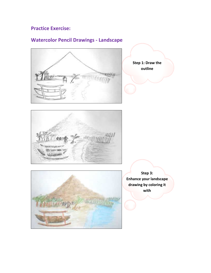#### Practice Exercise:

# Watercolor Pencil Drawings - Landscape



Step 1: Draw the outline





Step 3: Enhance your landscape drawing by coloring it with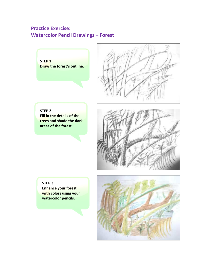### Practice Exercise: Watercolor Pencil Drawings – Forest





STEP 2 Fill in the details of the trees and shade the dark areas of the forest.



STEP 3 Enhance your forest with colors using your watercolor pencils.

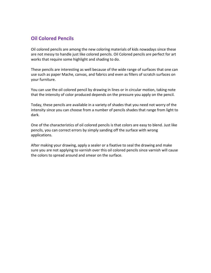#### Oil Colored Pencils

Oil colored pencils are among the new coloring materials of kids nowadays since these are not messy to handle just like colored pencils. Oil Colored pencils are perfect for art works that require some highlight and shading to do.

These pencils are interesting as well because of the wide range of surfaces that one can use such as paper Mache, canvas, and fabrics and even as fillers of scratch surfaces on your furniture.

You can use the oil colored pencil by drawing in lines or in circular motion, taking note that the intensity of color produced depends on the pressure you apply on the pencil.

Today, these pencils are available in a variety of shades that you need not worry of the intensity since you can choose from a number of pencils shades that range from light to dark.

One of the characteristics of oil colored pencils is that colors are easy to blend. Just like pencils, you can correct errors by simply sanding off the surface with wrong applications.

After making your drawing, apply a sealer or a fixative to seal the drawing and make sure you are not applying to varnish over this oil colored pencils since varnish will cause the colors to spread around and smear on the surface.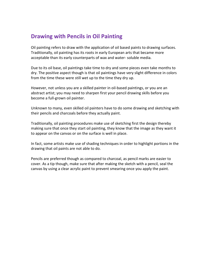## Drawing with Pencils in Oil Painting

Oil painting refers to draw with the application of oil based paints to drawing surfaces. Traditionally, oil painting has its roots in early European arts that became more acceptable than its early counterparts of wax and water- soluble media.

Due to its oil base, oil paintings take time to dry and some pieces even take months to dry. The positive aspect though is that oil paintings have very slight difference in colors from the time these were still wet up to the time they dry up.

However, not unless you are a skilled painter in oil-based paintings, or you are an abstract artist; you may need to sharpen first your pencil drawing skills before you become a full-grown oil painter.

Unknown to many, even skilled oil painters have to do some drawing and sketching with their pencils and charcoals before they actually paint.

Traditionally, oil painting procedures make use of sketching first the design thereby making sure that once they start oil painting, they know that the image as they want it to appear on the canvas or on the surface is well in place.

In fact, some artists make use of shading techniques in order to highlight portions in the drawing that oil paints are not able to do.

Pencils are preferred though as compared to charcoal, as pencil marks are easier to cover. As a tip though, make sure that after making the sketch with a pencil, seal the canvas by using a clear acrylic paint to prevent smearing once you apply the paint.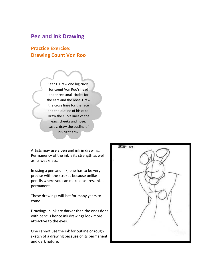#### Pen and Ink Drawing

#### Practice Exercise: Drawing Count Von Roo

Step1: Draw one big circle for count Von Roo's head and three small circles for the ears and the nose. Draw the cross lines for the face and the outline of his cape. Draw the curve lines of the ears, cheeks and nose. Lastly, draw the outline of his right arm.

Artists may use a pen and ink in drawing. Permanency of the ink is its strength as well as its weakness.

In using a pen and ink, one has to be very precise with the strokes because unlike pencils where you can make erasures, ink is permanent.

These drawings will last for many years to come.

Drawings in ink are darker than the ones done with pencils hence ink drawings look more attractive to the eyes.

One cannot use the ink for outline or rough sketch of a drawing because of its permanent and dark nature.

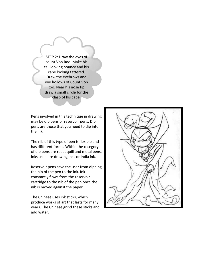STEP 2: Draw the eyes of count Von Roo. Make his tail looking bouncy and his cape looking tattered. Draw the eyebrows and eye hollows of Count Von Roo. Near his nose tip, draw a small circle for the clasp of his cape.

Pens involved in this technique in drawing may be dip pens or reservoir pens. Dip pens are those that you need to dip into the ink.

The nib of this type of pen is flexible and has different forms. Within the category of dip pens are reed, quill and metal pens. Inks used are drawing inks or India ink.

Reservoir pens save the user from dipping the nib of the pen to the ink. Ink constantly flows from the reservoir cartridge to the nib of the pen once the nib is moved against the paper.

The Chinese uses ink sticks, which produce works of art that lasts for many years. The Chinese grind these sticks and add water.

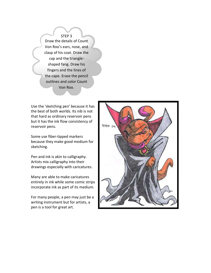STEP 3 Draw the details of Count Von Roo's ears, nose, and clasp of his coat. Draw the cap and the triangleshaped fang. Draw his fingers and the lines of the cape. Erase the pencil outlines and color Count Von Roo.

Use the 'sketching pen' because it has the best of both worlds. Its nib is not that hard as ordinary reservoir pens but it has the ink flow consistency of reservoir pens.

Some use fiber-tipped markers because they make good medium for sketching.

Pen and ink is akin to calligraphy. Artists mix calligraphy into their drawings especially with caricatures.

Many are able to make caricatures entirely in ink while some comic strips incorporate ink as part of its medium.

For many people, a pen may just be a writing instrument but for artists, a pen is a tool for great art.

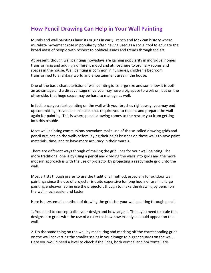# How Pencil Drawing Can Help in Your Wall Painting

Murals and wall paintings have its origins in early French and Mexican history where muralista movement rose in popularity often having used as a social tool to educate the broad mass of people with respect to political issues and trends through the art.

At present, though wall paintings nowadays are gaining popularity in individual homes transforming and adding a different mood and atmosphere to ordinary rooms and spaces in the house. Wall painting is common in nurseries, children's bedroom transformed to a fantasy world and entertainment area in the house.

One of the basic characteristics of wall painting is its large size and somehow it is both an advantage and a disadvantage since you may have a big space to work on, but on the other side, that huge space may be hard to manage as well.

In fact, once you start painting on the wall with your brushes right away, you may end up committing irreversible mistakes that require you to repaint and prepare the wall again for painting. This is where pencil drawing comes to the rescue you from getting into this trouble.

Most wall painting commissions nowadays make use of the so-called drawing grids and pencil outlines on the walls before laying their paint brushes on these walls to save paint materials, time, and to have more accuracy in their murals.

There are different ways though of making the grid lines for your wall painting. The more traditional one is by using a pencil and dividing the walls into grids and the more modern approach is with the use of projector by projecting a readymade grid unto the wall.

Most artists though prefer to use the traditional method, especially for outdoor wall paintings since the use of projector is quite expensive for long hours of use in a large painting endeavor. Some use the projector, though to make the drawing by pencil on the wall much easier and faster.

Here is a systematic method of drawing the grids for your wall painting through pencil.

1. You need to conceptualize your design and how large is. Then, you need to scale the designs into grids with the use of a ruler to show how exactly it should appear on the wall.

2. Do the same thing on the wall by measuring and marking off the corresponding grids on the wall converting the smaller scales in your image to bigger squares on the wall. Here you would need a level to check if the lines, both vertical and horizontal, are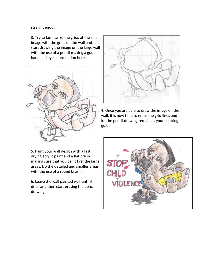straight enough.

3. Try to familiarize the grids of the small image with the grids on the wall and start drawing the image on the large wall with the use of a pencil making a good hand and eye coordination here.





4. Once you are able to draw the image on the wall, it is now time to erase the grid lines and let the pencil drawing remain as your painting guide.

5. Paint your wall design with a fast drying acrylic paint and a flat brush making sure that you paint first the large areas. Do the detailed and smaller areas with the use of a round brush.

6. Leave the wall painted wall until it dries and then start erasing the pencil drawings.

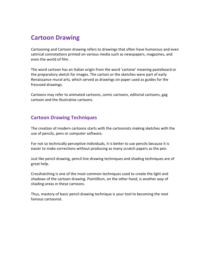# Cartoon Drawing

Cartooning and Cartoon drawing refers to drawings that often have humorous and even satirical connotations printed on various media such as newspapers, magazines, and even the world of film.

The word cartoon has an Italian origin from the word 'cartone' meaning pasteboard or the preparatory sketch for images. The cartoni or the sketches were part of early Renaissance mural arts, which served as drawings on paper used as guides for the frescoed drawings.

Cartoons may refer to animated cartoons, comic cartoons, editorial cartoons, gag cartoon and the illustrative cartoons.

#### Cartoon Drawing Techniques

The creation of modern cartoons starts with the cartoonists making sketches with the use of pencils, pens or computer software.

For not so technically perceptive individuals, it is better to use pencils because it is easier to make corrections without producing as many scratch papers as the pen.

Just like pencil drawing, pencil line drawing techniques and shading techniques are of great help.

Crosshatching is one of the most common techniques used to create the light and shadows of the cartoon drawing. Pointillism, on the other hand, is another way of shading areas in these cartoons.

Thus, mastery of basic pencil drawing technique is your tool to becoming the next famous cartoonist.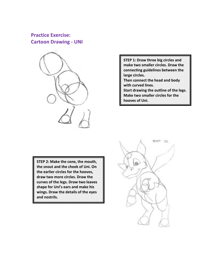#### Practice Exercise: Cartoon Drawing - UNI



STEP 1: Draw three big circles and make two smaller circles. Draw the connecting guidelines between the large circles. Then connect the head and body with curved lines. Start drawing the outline of the legs. Make two smaller circles for the hooves of Uni.

STEP 2: Make the cone, the mouth, the snout and the cheek of Uni. On the earlier circles for the hooves, draw two more circles. Draw the curves of the legs. Draw two leaves shape for Uni's ears and make his wings. Draw the details of the eyes and nostrils.

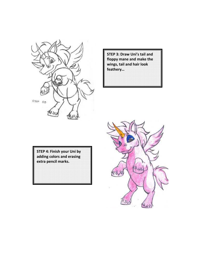

STEP 3: Draw Uni's tail and floppy mane and make the wings, tail and hair look feathery…

STEP 4: Finish your Uni by adding colors and erasing extra pencil marks.

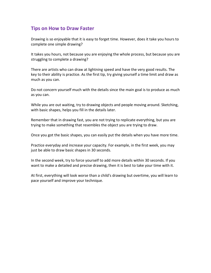#### Tips on How to Draw Faster

Drawing is so enjoyable that it is easy to forget time. However, does it take you hours to complete one simple drawing?

It takes you hours, not because you are enjoying the whole process, but because you are struggling to complete a drawing?

There are artists who can draw at lightning speed and have the very good results. The key to their ability is practice. As the first tip, try giving yourself a time limit and draw as much as you can.

Do not concern yourself much with the details since the main goal is to produce as much as you can.

While you are out waiting, try to drawing objects and people moving around. Sketching, with basic shapes, helps you fill in the details later.

Remember that in drawing fast, you are not trying to replicate everything, but you are trying to make something that resembles the object you are trying to draw.

Once you got the basic shapes, you can easily put the details when you have more time.

Practice everyday and increase your capacity. For example, in the first week, you may just be able to draw basic shapes in 30 seconds.

In the second week, try to force yourself to add more details within 30 seconds. If you want to make a detailed and precise drawing, then it is best to take your time with it.

At first, everything will look worse than a child's drawing but overtime, you will learn to pace yourself and improve your technique.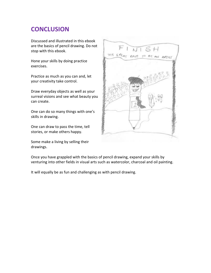# **CONCLUSION**

Discussed and illustrated in this ebook are the basics of pencil drawing. Do not stop with this ebook.

Hone your skills by doing practice exercises.

Practice as much as you can and, let your creativity take control.

Draw everyday objects as well as your surreal visions and see what beauty you can create.

One can do so many things with one's skills in drawing.

One can draw to pass the time, tell stories, or make others happy.

Some make a living by selling their drawings.



Once you have grappled with the basics of pencil drawing, expand your skills by venturing into other fields in visual arts such as watercolor, charcoal and oil painting.

It will equally be as fun and challenging as with pencil drawing.